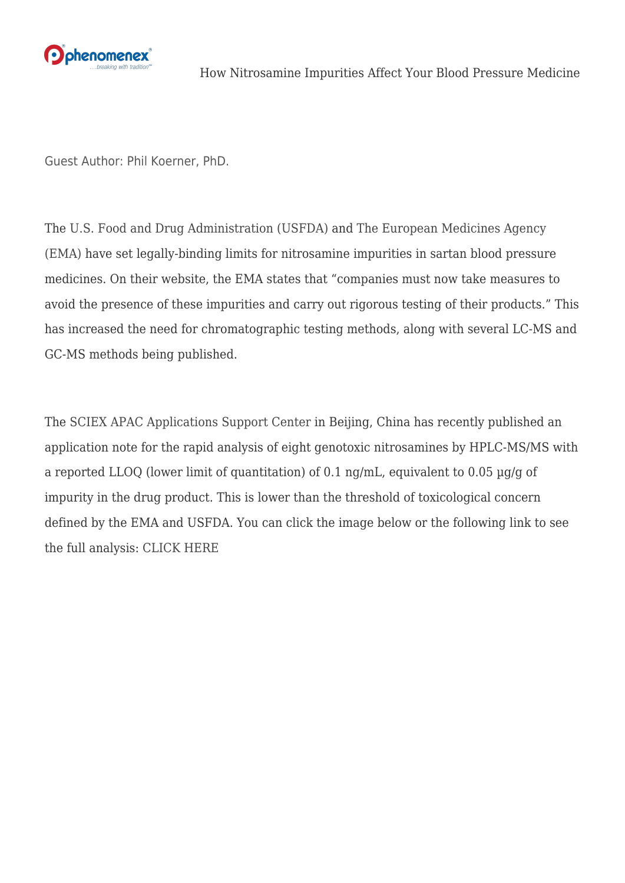

Guest Author: Phil Koerner, PhD.

The [U.S. Food and Drug Administration \(USFDA\)](https://www.fda.gov/drugs/drug-safety-and-availability/fda-updates-and-press-announcements-angiotensin-ii-receptor-blocker-arb-recalls-valsartan-losartan) and [The European Medicines Agency](https://www.ema.europa.eu/en/medicines/human/referrals/angiotensin-ii-receptor-antagonists-sartans-containing-tetrazole-group) [\(EMA\)](https://www.ema.europa.eu/en/medicines/human/referrals/angiotensin-ii-receptor-antagonists-sartans-containing-tetrazole-group) have set legally-binding limits for nitrosamine impurities in sartan blood pressure medicines. On their website, the EMA states that "companies must now take measures to avoid the presence of these impurities and carry out rigorous testing of their products." This has increased the need for chromatographic testing methods, along with several LC-MS and GC-MS methods being published.

The [SCIEX APAC Applications Support Center](https://sciex.com/) in Beijing, China has recently published an application note for the rapid analysis of eight genotoxic nitrosamines by HPLC-MS/MS with a reported LLOQ (lower limit of quantitation) of 0.1 ng/mL, equivalent to 0.05 µg/g of impurity in the drug product. This is lower than the threshold of toxicological concern defined by the EMA and USFDA. You can click the image below or the following link to see the full analysis: [CLICK HERE](https://sciex.com/Documents/tech%20notes/Rapid-Analysis-of-Genotoxic-Nitrosamines-by-HPLC-MS-MS.pdf)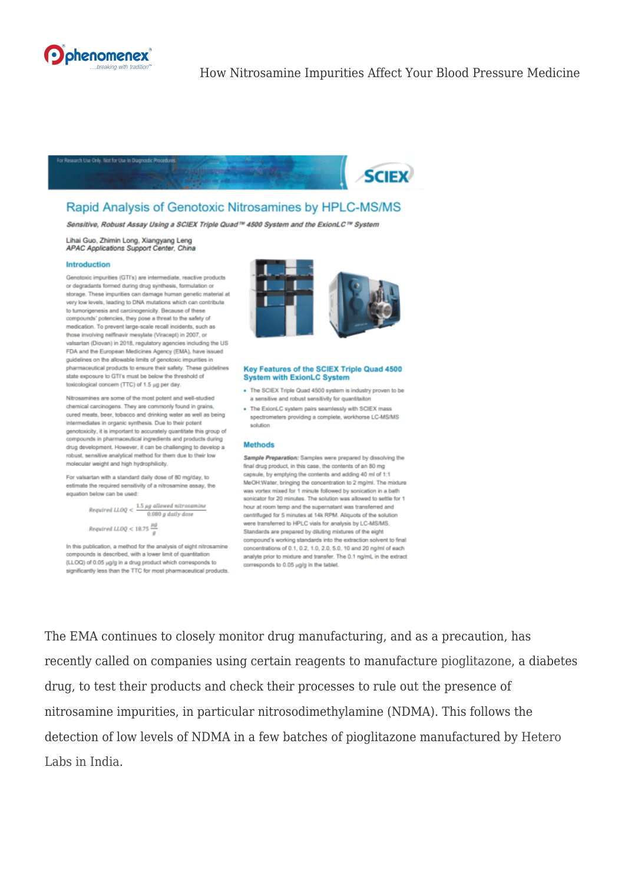



## Rapid Analysis of Genotoxic Nitrosamines by HPLC-MS/MS

Sensitive, Robust Assay Using a SCIEX Triple Quad™ 4500 System and the ExionLC™ System

Lihai Guo, Zhimin Long, Xiangyang Leng APAC Applications Support Center, China

## **Introduction**

Genotoxic impurities (GTI's) are intermediate, reactive products or degradants formed during drug synthesis, formulation or storage. These impurities can damage human genetic mater very low levels, leading to DNA mutations which can contribute to tumorigenesis and carcinogenicity. Because of these compounds' potencies, they pose a threat to the safety of medication. To prevent large-scale recall incidents, such as those involving nelfinavir mesylate (Viracept) in 2007, or valsartan (Diovan) in 2018, regulatory agencies including the US FDA and the European Medicines Agency (EMA), have issued guidelines on the allowable limits of genotoxic impurities in pharmaceutical products to ensure their safety. These guidelines state exposure to GTTs must be below the threshold of toxicological concern (TTC) of 1.5 µg per day.

Nitrosamines are some of the most potent and well-studied chemical carcinogens. They are commonly found in grains, cured meats, beer, tobacco and drinking water as well as being intermediates in organic synthesis. Due to their potent genotoxicity, it is important to accurately quantitate this group of compounds in pharmaceutical ingredients and products during drug development. However, it can be challenging to develop a robust, sensitive analytical method for them due to their low molecular weight and high hydrophilicity

For valsartan with a standard daily dose of 80 mg/day, to estimate the required sensitivity of a nitrosamine assay, the equation below can be used:

 $Required \; LLOQ < \frac{1.5 \; \mu g \; allowed \; nitrosamine}{0.080 \; g \; daily \; dose}$ 

Required LLOQ < 18.75  $\frac{\mu g}{c}$ 

In this publication, a method for the analysis of eight nitrosamine compounds is described, with a lower limit of quantitation (LLOQ) of 0.05 µg/g in a drug product which corresponds to significantly less than the TTC for most pharmaceutical products.



## Key Features of the SCIEX Triple Quad 4500 **System with ExionLC System**

- . The SCIEX Triple Quad 4500 system is industry proven to be a sensitive and robust sensitivity for quantitaiton
- . The ExionLC system pairs seamlessly with SCIEX m spectrometers providing a complete, workhorse LC-MS/MS solution

## **Methods**

Sample Preparation: Samples were prepared by dissolving the final drug product, in this case, the contents of an 80 mg capsule, by emptying the contents and adding 40 ml of 1:1 MeOH:Water, bringing the concentration to 2 mg/ml. The mixture was vortex mixed for 1 minute followed by sonication in a bath sonicator for 20 minutes. The solution was allowed to settle for 1 hour at room temp and the supernatant was transferred and centrifuged for 5 minutes at 14k RPM. Aliquots of the solution were transferred to HPLC vials for analysis by LC-MS/MS. Standards are prepared by diluting mixtures of the eight compound's working standards into the extraction solvent to final concentrations of 0.1, 0.2, 1.0, 2.0, 5.0, 10 and 20 ng/ml of each analyte prior to mixture and transfer. The 0.1 ng/mL in the extract corresponds to 0.05 µg/g in the tablet.

The EMA continues to closely monitor drug manufacturing, and as a precaution, has recently called on companies using certain reagents to manufacture pioglitazone, a diabetes drug, to test their products and check their processes to rule out the presence of nitrosamine impurities, in particular nitrosodimethylamine (NDMA). This follows the detection of low levels of NDMA in a few batches of pioglitazone manufactured by Hetero Labs in India.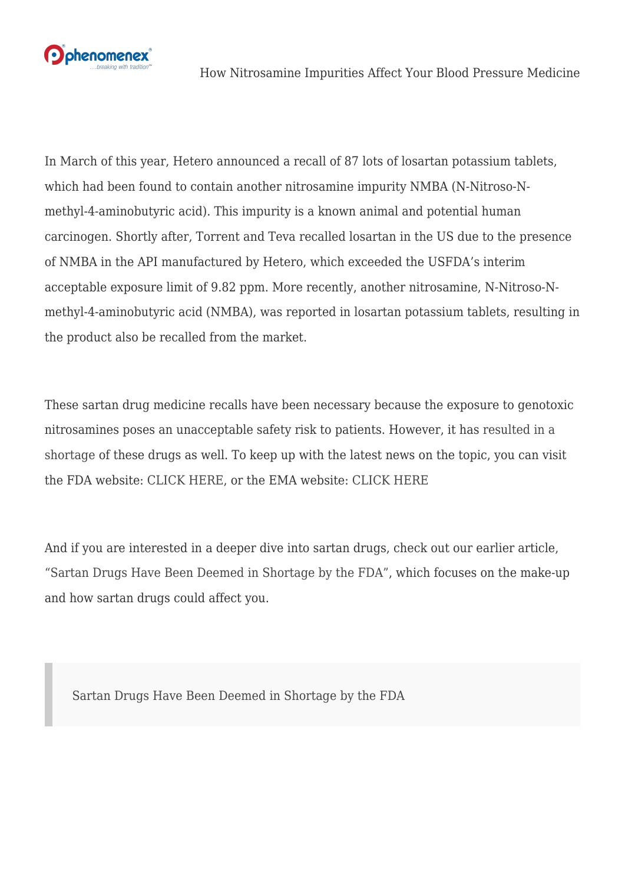

In March of this year, Hetero announced a recall of 87 lots of losartan potassium tablets, which had been found to contain another nitrosamine impurity NMBA (N-Nitroso-Nmethyl-4-aminobutyric acid). This impurity is a known animal and potential human carcinogen. Shortly after, Torrent and Teva recalled losartan in the US due to the presence of NMBA in the API manufactured by Hetero, which exceeded the USFDA's interim acceptable exposure limit of 9.82 ppm. More recently, another nitrosamine, N-Nitroso-Nmethyl-4-aminobutyric acid (NMBA), was reported in losartan potassium tablets, resulting in the product also be recalled from the market.

These sartan drug medicine recalls have been necessary because the exposure to genotoxic nitrosamines poses an unacceptable safety risk to patients. However, it has [resulted in a](https://phenomenex.blog/2019/04/02/sartan-drugs/) [shortage](https://phenomenex.blog/2019/04/02/sartan-drugs/) of these drugs as well. To keep up with the latest news on the topic, you can visit the FDA website: [CLICK HERE](https://www.fda.gov/drugs/drug-safety-and-availability/fda-updates-and-press-announcements-angiotensin-ii-receptor-blocker-arb-recalls-valsartan-losartan), or the EMA website: [CLICK HERE](https://www.ema.europa.eu/en/medicines/human/referrals/angiotensin-ii-receptor-antagonists-sartans-containing-tetrazole-group)

And if you are interested in a deeper dive into sartan drugs, check out our earlier article, ["Sartan Drugs Have Been Deemed in Shortage by the FDA"](https://phenomenex.blog/2019/04/02/sartan-drugs/), which focuses on the make-up and how sartan drugs could affect you.

[Sartan Drugs Have Been Deemed in Shortage by the FDA](https://phenomenex.blog/2019/04/02/sartan-drugs/)